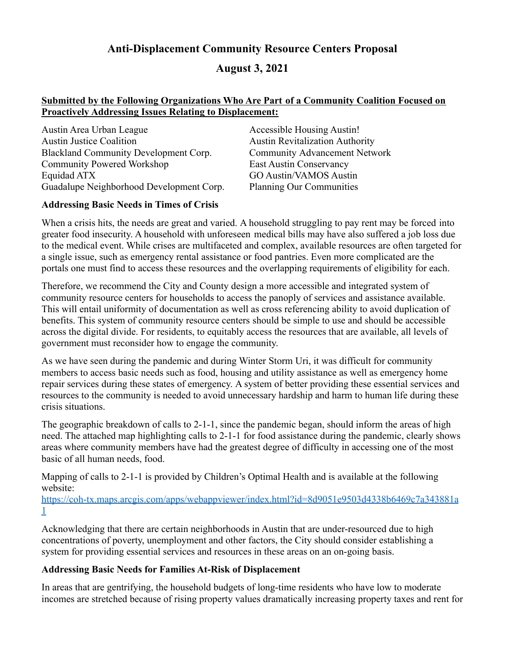# **Anti-Displacement Community Resource Centers Proposal**

# **August 3, 2021**

### **Submitted by the Following Organizations Who Are Part of a Community Coalition Focused on Proactively Addressing Issues Relating to Displacement:**

Austin Area Urban League Accessible Housing Austin! Austin Justice Coalition **Austin Revitalization Authority** Austin Revitalization Authority Blackland Community Development Corp. Community Advancement Network Community Powered Workshop East Austin Conservancy Equidad ATX GO Austin/VAMOS Austin Guadalupe Neighborhood Development Corp. Planning Our Communities

### **Addressing Basic Needs in Times of Crisis**

When a crisis hits, the needs are great and varied. A household struggling to pay rent may be forced into greater food insecurity. A household with unforeseen medical bills may have also suffered a job loss due to the medical event. While crises are multifaceted and complex, available resources are often targeted for a single issue, such as emergency rental assistance or food pantries. Even more complicated are the portals one must find to access these resources and the overlapping requirements of eligibility for each.

Therefore, we recommend the City and County design a more accessible and integrated system of community resource centers for households to access the panoply of services and assistance available. This will entail uniformity of documentation as well as cross referencing ability to avoid duplication of benefits. This system of community resource centers should be simple to use and should be accessible across the digital divide. For residents, to equitably access the resources that are available, all levels of government must reconsider how to engage the community.

As we have seen during the pandemic and during Winter Storm Uri, it was difficult for community members to access basic needs such as food, housing and utility assistance as well as emergency home repair services during these states of emergency. A system of better providing these essential services and resources to the community is needed to avoid unnecessary hardship and harm to human life during these crisis situations.

The geographic breakdown of calls to 2-1-1, since the pandemic began, should inform the areas of high need. The attached map highlighting calls to 2-1-1 for food assistance during the pandemic, clearly shows areas where community members have had the greatest degree of difficulty in accessing one of the most basic of all human needs, food.

Mapping of calls to 2-1-1 is provided by Children's Optimal Health and is available at the following website:

https://coh-tx.maps.arcgis.com/apps/webappviewer/index.html?id=8d9051e9503d4338b6469c7a343881a 1

Acknowledging that there are certain neighborhoods in Austin that are under-resourced due to high concentrations of poverty, unemployment and other factors, the City should consider establishing a system for providing essential services and resources in these areas on an on-going basis.

### **Addressing Basic Needs for Families At-Risk of Displacement**

In areas that are gentrifying, the household budgets of long-time residents who have low to moderate incomes are stretched because of rising property values dramatically increasing property taxes and rent for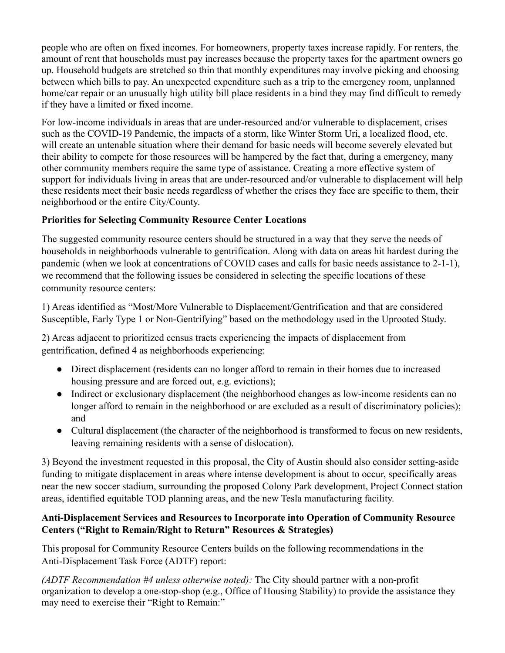people who are often on fixed incomes. For homeowners, property taxes increase rapidly. For renters, the amount of rent that households must pay increases because the property taxes for the apartment owners go up. Household budgets are stretched so thin that monthly expenditures may involve picking and choosing between which bills to pay. An unexpected expenditure such as a trip to the emergency room, unplanned home/car repair or an unusually high utility bill place residents in a bind they may find difficult to remedy if they have a limited or fixed income.

For low-income individuals in areas that are under-resourced and/or vulnerable to displacement, crises such as the COVID-19 Pandemic, the impacts of a storm, like Winter Storm Uri, a localized flood, etc. will create an untenable situation where their demand for basic needs will become severely elevated but their ability to compete for those resources will be hampered by the fact that, during a emergency, many other community members require the same type of assistance. Creating a more effective system of support for individuals living in areas that are under-resourced and/or vulnerable to displacement will help these residents meet their basic needs regardless of whether the crises they face are specific to them, their neighborhood or the entire City/County.

# **Priorities for Selecting Community Resource Center Locations**

The suggested community resource centers should be structured in a way that they serve the needs of households in neighborhoods vulnerable to gentrification. Along with data on areas hit hardest during the pandemic (when we look at concentrations of COVID cases and calls for basic needs assistance to 2-1-1), we recommend that the following issues be considered in selecting the specific locations of these community resource centers:

1) Areas identified as "Most/More Vulnerable to Displacement/Gentrification and that are considered Susceptible, Early Type 1 or Non-Gentrifying" based on the methodology used in the Uprooted Study.

2) Areas adjacent to prioritized census tracts experiencing the impacts of displacement from gentrification, defined 4 as neighborhoods experiencing:

- Direct displacement (residents can no longer afford to remain in their homes due to increased housing pressure and are forced out, e.g. evictions);
- Indirect or exclusionary displacement (the neighborhood changes as low-income residents can no longer afford to remain in the neighborhood or are excluded as a result of discriminatory policies); and
- Cultural displacement (the character of the neighborhood is transformed to focus on new residents, leaving remaining residents with a sense of dislocation).

3) Beyond the investment requested in this proposal, the City of Austin should also consider setting-aside funding to mitigate displacement in areas where intense development is about to occur, specifically areas near the new soccer stadium, surrounding the proposed Colony Park development, Project Connect station areas, identified equitable TOD planning areas, and the new Tesla manufacturing facility.

### **Anti-Displacement Services and Resources to Incorporate into Operation of Community Resource Centers ("Right to Remain/Right to Return" Resources & Strategies)**

This proposal for Community Resource Centers builds on the following recommendations in the Anti-Displacement Task Force (ADTF) report:

*(ADTF Recommendation #4 unless otherwise noted):* The City should partner with a non-profit organization to develop a one-stop-shop (e.g., Office of Housing Stability) to provide the assistance they may need to exercise their "Right to Remain:"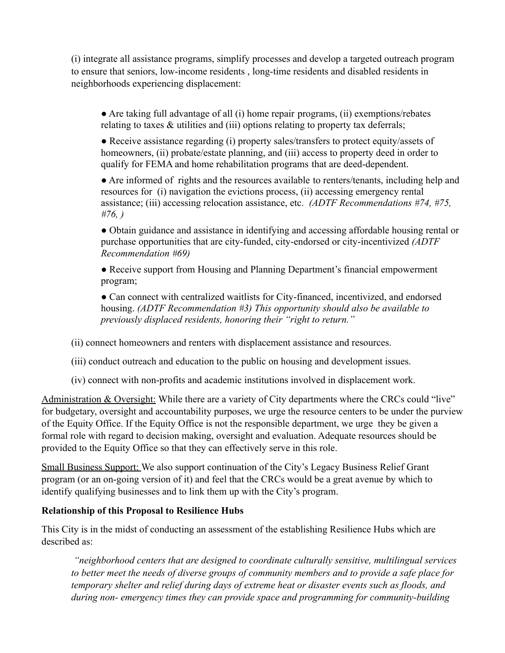(i) integrate all assistance programs, simplify processes and develop a targeted outreach program to ensure that seniors, low-income residents , long-time residents and disabled residents in neighborhoods experiencing displacement:

● Are taking full advantage of all (i) home repair programs, (ii) exemptions/rebates relating to taxes & utilities and (iii) options relating to property tax deferrals;

• Receive assistance regarding (i) property sales/transfers to protect equity/assets of homeowners, (ii) probate/estate planning, and (iii) access to property deed in order to qualify for FEMA and home rehabilitation programs that are deed-dependent.

● Are informed of rights and the resources available to renters/tenants, including help and resources for (i) navigation the evictions process, (ii) accessing emergency rental assistance; (iii) accessing relocation assistance, etc. *(ADTF Recommendations #74, #75, #76, )*

● Obtain guidance and assistance in identifying and accessing affordable housing rental or purchase opportunities that are city-funded, city-endorsed or city-incentivized *(ADTF Recommendation #69)*

● Receive support from Housing and Planning Department's financial empowerment program;

• Can connect with centralized waitlists for City-financed, incentivized, and endorsed housing. *(ADTF Recommendation #3) This opportunity should also be available to previously displaced residents, honoring their "right to return."*

(ii) connect homeowners and renters with displacement assistance and resources.

(iii) conduct outreach and education to the public on housing and development issues.

(iv) connect with non-profits and academic institutions involved in displacement work.

Administration & Oversight: While there are a variety of City departments where the CRCs could "live" for budgetary, oversight and accountability purposes, we urge the resource centers to be under the purview of the Equity Office. If the Equity Office is not the responsible department, we urge they be given a formal role with regard to decision making, oversight and evaluation. Adequate resources should be provided to the Equity Office so that they can effectively serve in this role.

Small Business Support: We also support continuation of the City's Legacy Business Relief Grant program (or an on-going version of it) and feel that the CRCs would be a great avenue by which to identify qualifying businesses and to link them up with the City's program.

# **Relationship of this Proposal to Resilience Hubs**

This City is in the midst of conducting an assessment of the establishing Resilience Hubs which are described as:

*"neighborhood centers that are designed to coordinate culturally sensitive, multilingual services to better meet the needs of diverse groups of community members and to provide a safe place for temporary shelter and relief during days of extreme heat or disaster events such as floods, and during non- emergency times they can provide space and programming for community-building*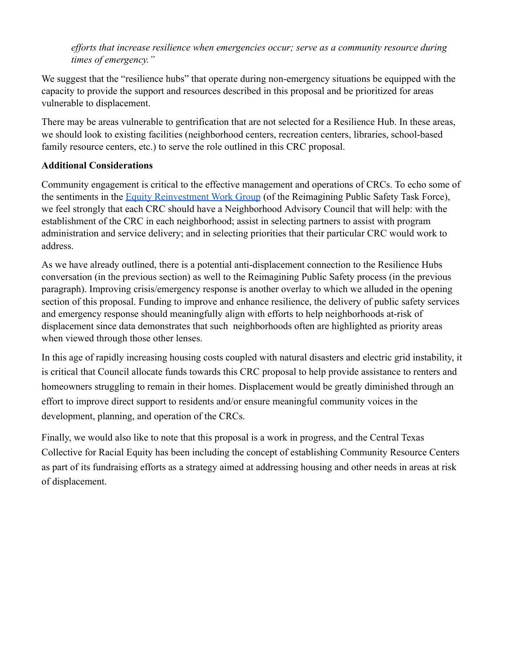*efforts that increase resilience when emergencies occur; serve as a community resource during times of emergency."*

We suggest that the "resilience hubs" that operate during non-emergency situations be equipped with the capacity to provide the support and resources described in this proposal and be prioritized for areas vulnerable to displacement.

There may be areas vulnerable to gentrification that are not selected for a Resilience Hub. In these areas, we should look to existing facilities (neighborhood centers, recreation centers, libraries, school-based family resource centers, etc.) to serve the role outlined in this CRC proposal.

# **Additional Considerations**

Community engagement is critical to the effective management and operations of CRCs. To echo some of the sentiments in the Equity Reinvestment Work Group (of the Reimagining Public Safety Task Force), we feel strongly that each CRC should have a Neighborhood Advisory Council that will help: with the establishment of the CRC in each neighborhood; assist in selecting partners to assist with program administration and service delivery; and in selecting priorities that their particular CRC would work to address.

As we have already outlined, there is a potential anti-displacement connection to the Resilience Hubs conversation (in the previous section) as well to the Reimagining Public Safety process (in the previous paragraph). Improving crisis/emergency response is another overlay to which we alluded in the opening section of this proposal. Funding to improve and enhance resilience, the delivery of public safety services and emergency response should meaningfully align with efforts to help neighborhoods at-risk of displacement since data demonstrates that such neighborhoods often are highlighted as priority areas when viewed through those other lenses.

In this age of rapidly increasing housing costs coupled with natural disasters and electric grid instability, it is critical that Council allocate funds towards this CRC proposal to help provide assistance to renters and homeowners struggling to remain in their homes. Displacement would be greatly diminished through an effort to improve direct support to residents and/or ensure meaningful community voices in the development, planning, and operation of the CRCs.

Finally, we would also like to note that this proposal is a work in progress, and the Central Texas Collective for Racial Equity has been including the concept of establishing Community Resource Centers as part of its fundraising efforts as a strategy aimed at addressing housing and other needs in areas at risk of displacement.